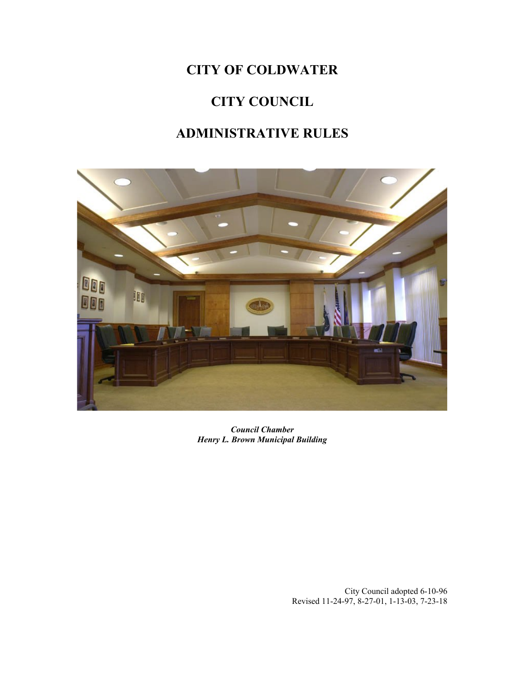## **CITY OF COLDWATER**

# **CITY COUNCIL**

## **ADMINISTRATIVE RULES**



*Council Chamber Henry L. Brown Municipal Building*

City Council adopted 6-10-96 Revised 11-24-97, 8-27-01, 1-13-03, 7-23-18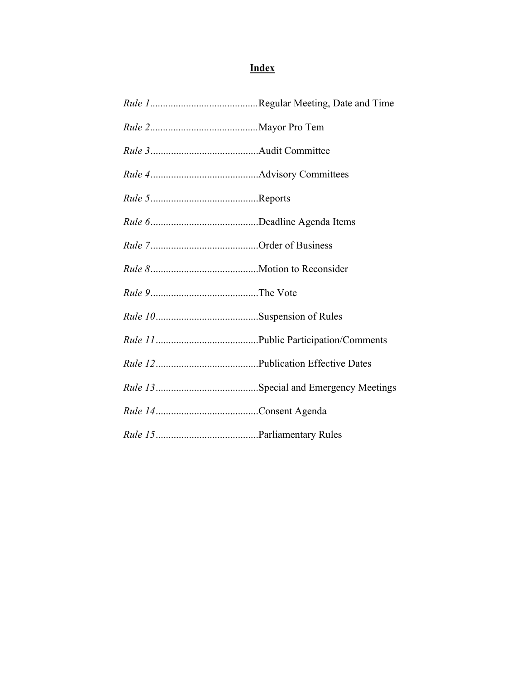## **Index**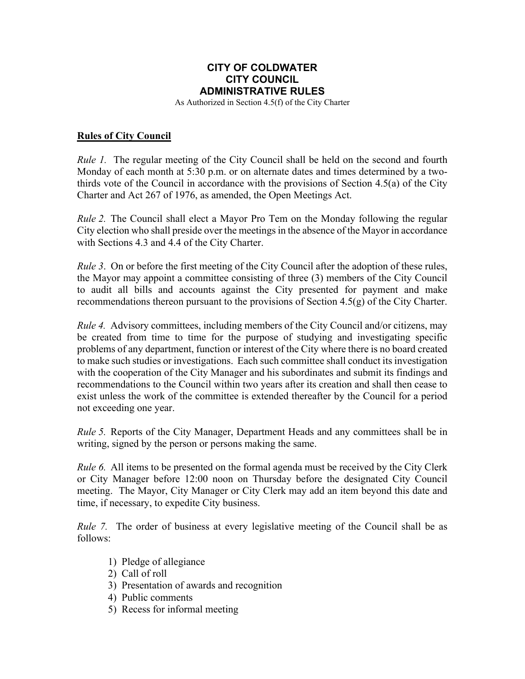### **CITY OF COLDWATER CITY COUNCIL ADMINISTRATIVE RULES**

As Authorized in Section 4.5(f) of the City Charter

#### **Rules of City Council**

*Rule 1.* The regular meeting of the City Council shall be held on the second and fourth Monday of each month at 5:30 p.m. or on alternate dates and times determined by a twothirds vote of the Council in accordance with the provisions of Section 4.5(a) of the City Charter and Act 267 of 1976, as amended, the Open Meetings Act.

*Rule 2.* The Council shall elect a Mayor Pro Tem on the Monday following the regular City election who shall preside over the meetingsin the absence of the Mayor in accordance with Sections 4.3 and 4.4 of the City Charter.

*Rule* 3. On or before the first meeting of the City Council after the adoption of these rules, the Mayor may appoint a committee consisting of three (3) members of the City Council to audit all bills and accounts against the City presented for payment and make recommendations thereon pursuant to the provisions of Section 4.5(g) of the City Charter.

*Rule* 4. Advisory committees, including members of the City Council and/or citizens, may be created from time to time for the purpose of studying and investigating specific problems of any department, function or interest of the City where there is no board created to make such studies or investigations. Each such committee shall conduct its investigation with the cooperation of the City Manager and his subordinates and submit its findings and recommendations to the Council within two years after its creation and shall then cease to exist unless the work of the committee is extended thereafter by the Council for a period not exceeding one year.

*Rule 5.* Reports of the City Manager, Department Heads and any committees shall be in writing, signed by the person or persons making the same.

*Rule 6.* All items to be presented on the formal agenda must be received by the City Clerk or City Manager before 12:00 noon on Thursday before the designated City Council meeting. The Mayor, City Manager or City Clerk may add an item beyond this date and time, if necessary, to expedite City business.

*Rule* 7. The order of business at every legislative meeting of the Council shall be as follows:

- 1) Pledge of allegiance
- 2) Call of roll
- 3) Presentation of awards and recognition
- 4) Public comments
- 5) Recess for informal meeting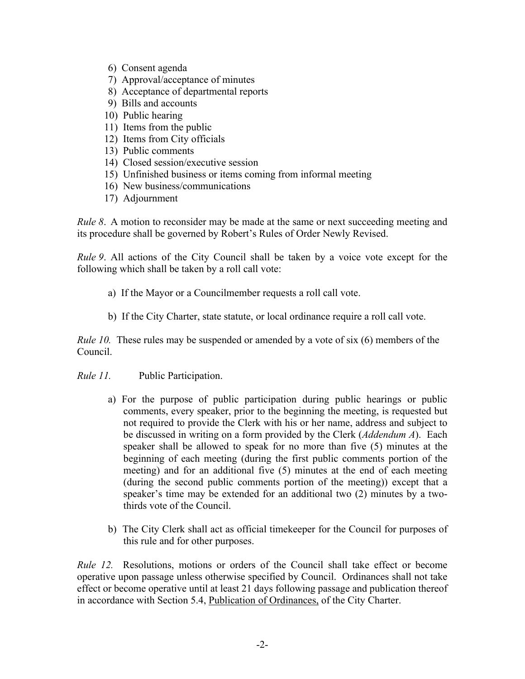- 6) Consent agenda
- 7) Approval/acceptance of minutes
- 8) Acceptance of departmental reports
- 9) Bills and accounts
- 10) Public hearing
- 11) Items from the public
- 12) Items from City officials
- 13) Public comments
- 14) Closed session/executive session
- 15) Unfinished business or items coming from informal meeting
- 16) New business/communications
- 17) Adjournment

*Rule* 8. A motion to reconsider may be made at the same or next succeeding meeting and its procedure shall be governed by Robert's Rules of Order Newly Revised.

*Rule 9*. All actions of the City Council shall be taken by a voice vote except for the following which shall be taken by a roll call vote:

- a) If the Mayor or a Councilmember requests a roll call vote.
- b) If the City Charter, state statute, or local ordinance require a roll call vote.

*Rule* 10. These rules may be suspended or amended by a vote of six (6) members of the Council.

- *Rule 11.* Public Participation.
	- a) For the purpose of public participation during public hearings or public comments, every speaker, prior to the beginning the meeting, is requested but not required to provide the Clerk with his or her name, address and subject to be discussed in writing on a form provided by the Clerk (*Addendum A*). Each speaker shall be allowed to speak for no more than five (5) minutes at the beginning of each meeting (during the first public comments portion of the meeting) and for an additional five (5) minutes at the end of each meeting (during the second public comments portion of the meeting)) except that a speaker's time may be extended for an additional two (2) minutes by a twothirds vote of the Council.
	- b) The City Clerk shall act as official timekeeper for the Council for purposes of this rule and for other purposes.

*Rule 12.* Resolutions, motions or orders of the Council shall take effect or become operative upon passage unless otherwise specified by Council. Ordinances shall not take effect or become operative until at least 21 days following passage and publication thereof in accordance with Section 5.4, Publication of Ordinances, of the City Charter.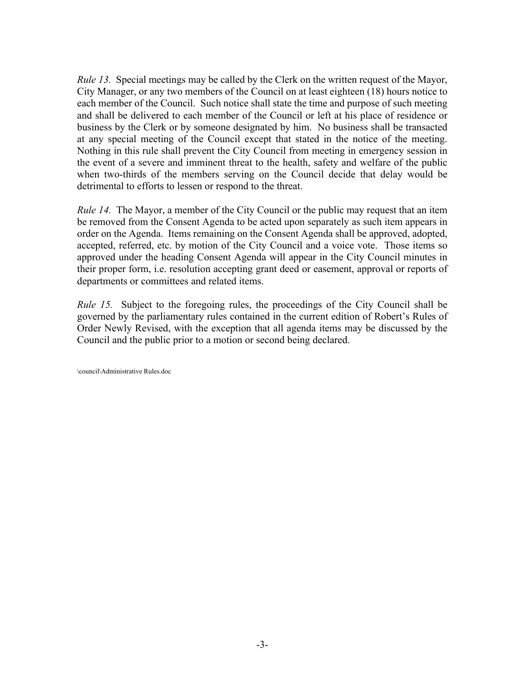*Rule 13.* Special meetings may be called by the Clerk on the written request of the Mayor, City Manager, or any two members of the Council on at least eighteen (18) hours notice to each member of the Council. Such notice shall state the time and purpose of such meeting and shall be delivered to each member of the Council or left at his place of residence or business by the Clerk or by someone designated by him. No business shall be transacted at any special meeting of the Council except that stated in the notice of the meeting. Nothing in this rule shall prevent the City Council from meeting in emergency session in the event of a severe and imminent threat to the health, safety and welfare of the public when two-thirds of the members serving on the Council decide that delay would be detrimental to efforts to lessen or respond to the threat.

*Rule* 14. The Mayor, a member of the City Council or the public may request that an item be removed from the Consent Agenda to be acted upon separately as such item appears in order on the Agenda. Items remaining on the Consent Agenda shall be approved, adopted, accepted, referred, etc. by motion of the City Council and a voice vote. Those items so approved under the heading Consent Agenda will appear in the City Council minutes in their proper form, i.e. resolution accepting grant deed or easement, approval or reports of departments or committees and related items.

*Rule* 15. Subject to the foregoing rules, the proceedings of the City Council shall be governed by the parliamentary rules contained in the current edition of Robert's Rules of Order Newly Revised, with the exception that all agenda items may be discussed by the Council and the public prior to a motion or second being declared.

\council\Administrative Rules.doc